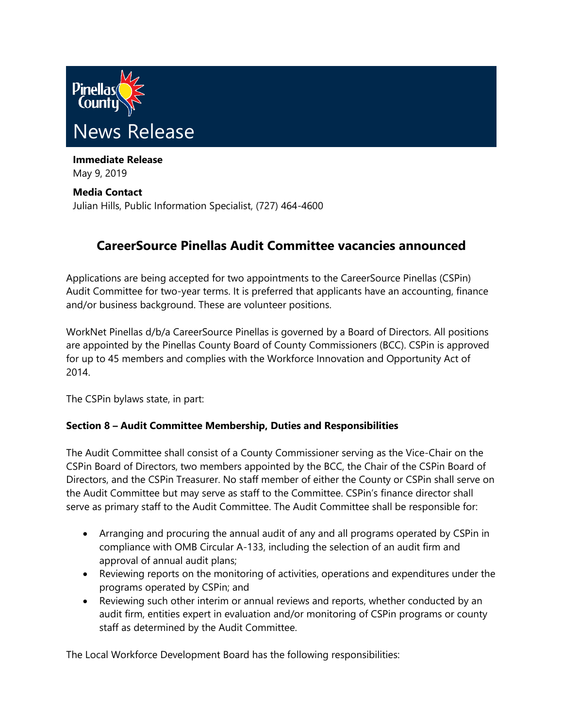

**Immediate Release** May 9, 2019

**Media Contact** Julian Hills, Public Information Specialist, (727) 464-4600

## **CareerSource Pinellas Audit Committee vacancies announced**

Applications are being accepted for two appointments to the CareerSource Pinellas (CSPin) Audit Committee for two-year terms. It is preferred that applicants have an accounting, finance and/or business background. These are volunteer positions.

WorkNet Pinellas d/b/a CareerSource Pinellas is governed by a Board of Directors. All positions are appointed by the Pinellas County Board of County Commissioners (BCC). CSPin is approved for up to 45 members and complies with the Workforce Innovation and Opportunity Act of 2014.

The CSPin bylaws state, in part:

## **Section 8 – Audit Committee Membership, Duties and Responsibilities**

The Audit Committee shall consist of a County Commissioner serving as the Vice-Chair on the CSPin Board of Directors, two members appointed by the BCC, the Chair of the CSPin Board of Directors, and the CSPin Treasurer. No staff member of either the County or CSPin shall serve on the Audit Committee but may serve as staff to the Committee. CSPin's finance director shall serve as primary staff to the Audit Committee. The Audit Committee shall be responsible for:

- Arranging and procuring the annual audit of any and all programs operated by CSPin in compliance with OMB Circular A-133, including the selection of an audit firm and approval of annual audit plans;
- Reviewing reports on the monitoring of activities, operations and expenditures under the programs operated by CSPin; and
- Reviewing such other interim or annual reviews and reports, whether conducted by an audit firm, entities expert in evaluation and/or monitoring of CSPin programs or county staff as determined by the Audit Committee.

The Local Workforce Development Board has the following responsibilities: